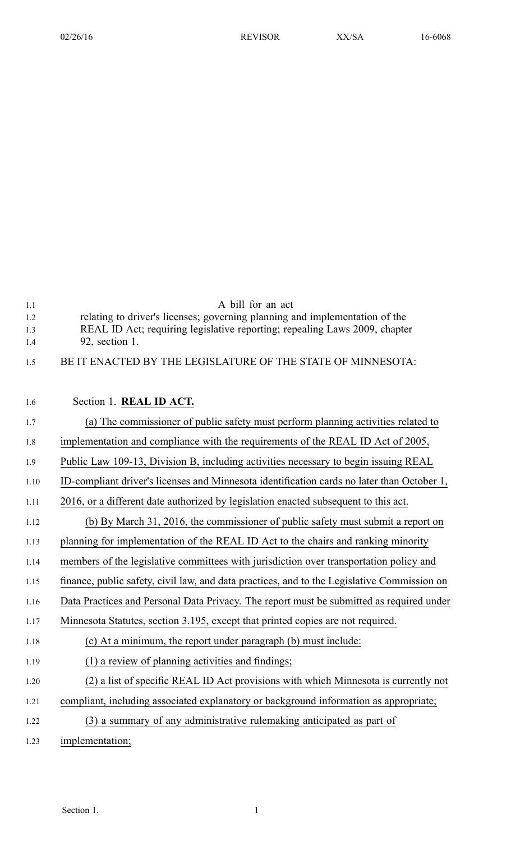| 1.1  | A bill for an act                                                                           |
|------|---------------------------------------------------------------------------------------------|
| 1.2  | relating to driver's licenses; governing planning and implementation of the                 |
| 1.3  | REAL ID Act; requiring legislative reporting; repealing Laws 2009, chapter                  |
| 1.4  | 92, section 1.                                                                              |
| 1.5  | BE IT ENACTED BY THE LEGISLATURE OF THE STATE OF MINNESOTA:                                 |
|      |                                                                                             |
| 1.6  | Section 1. REAL ID ACT.                                                                     |
| 1.7  | (a) The commissioner of public safety must perform planning activities related to           |
| 1.8  | implementation and compliance with the requirements of the REAL ID Act of 2005,             |
| 1.9  | Public Law 109-13, Division B, including activities necessary to begin issuing REAL         |
| 1.10 | ID-compliant driver's licenses and Minnesota identification cards no later than October 1,  |
| 1.11 | 2016, or a different date authorized by legislation enacted subsequent to this act.         |
| 1.12 | (b) By March 31, 2016, the commissioner of public safety must submit a report on            |
| 1.13 | planning for implementation of the REAL ID Act to the chairs and ranking minority           |
| 1.14 | members of the legislative committees with jurisdiction over transportation policy and      |
| 1.15 | finance, public safety, civil law, and data practices, and to the Legislative Commission on |
| 1.16 | Data Practices and Personal Data Privacy. The report must be submitted as required under    |
| 1.17 | Minnesota Statutes, section 3.195, except that printed copies are not required.             |
| 1.18 | (c) At a minimum, the report under paragraph (b) must include:                              |
| 1.19 | (1) a review of planning activities and findings;                                           |
| 1.20 | (2) a list of specific REAL ID Act provisions with which Minnesota is currently not         |
| 1.21 | compliant, including associated explanatory or background information as appropriate;       |
| 1.22 | (3) a summary of any administrative rulemaking anticipated as part of                       |
| 1.23 | implementation;                                                                             |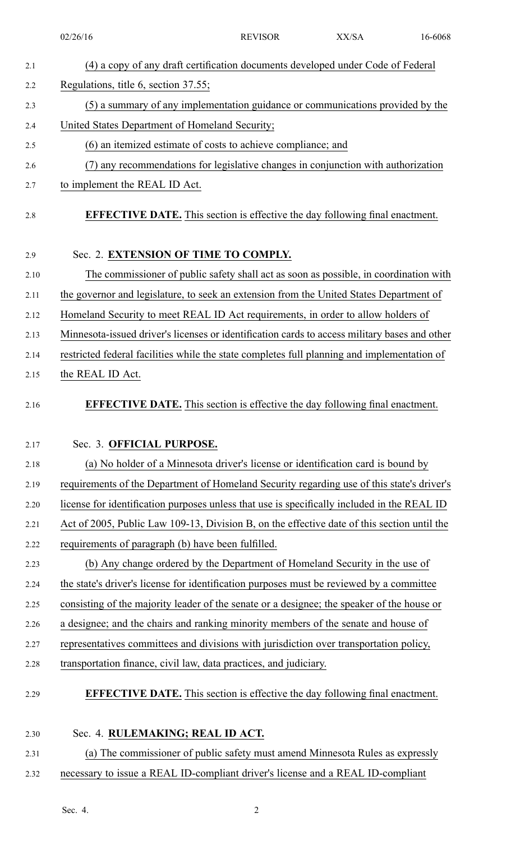|      | 02/26/16                                                                                      | <b>REVISOR</b> | XX/SA | 16-6068 |  |
|------|-----------------------------------------------------------------------------------------------|----------------|-------|---------|--|
| 2.1  | (4) a copy of any draft certification documents developed under Code of Federal               |                |       |         |  |
| 2.2  | Regulations, title 6, section 37.55;                                                          |                |       |         |  |
| 2.3  | (5) a summary of any implementation guidance or communications provided by the                |                |       |         |  |
| 2.4  | United States Department of Homeland Security;                                                |                |       |         |  |
| 2.5  | (6) an itemized estimate of costs to achieve compliance; and                                  |                |       |         |  |
| 2.6  | (7) any recommendations for legislative changes in conjunction with authorization             |                |       |         |  |
| 2.7  | to implement the REAL ID Act.                                                                 |                |       |         |  |
| 2.8  | <b>EFFECTIVE DATE.</b> This section is effective the day following final enactment.           |                |       |         |  |
| 2.9  | Sec. 2. EXTENSION OF TIME TO COMPLY.                                                          |                |       |         |  |
| 2.10 | The commissioner of public safety shall act as soon as possible, in coordination with         |                |       |         |  |
| 2.11 | the governor and legislature, to seek an extension from the United States Department of       |                |       |         |  |
| 2.12 | Homeland Security to meet REAL ID Act requirements, in order to allow holders of              |                |       |         |  |
| 2.13 | Minnesota-issued driver's licenses or identification cards to access military bases and other |                |       |         |  |
| 2.14 | restricted federal facilities while the state completes full planning and implementation of   |                |       |         |  |
| 2.15 | the REAL ID Act.                                                                              |                |       |         |  |
| 2.16 | <b>EFFECTIVE DATE.</b> This section is effective the day following final enactment.           |                |       |         |  |
| 2.17 | Sec. 3. OFFICIAL PURPOSE.                                                                     |                |       |         |  |
| 2.18 | (a) No holder of a Minnesota driver's license or identification card is bound by              |                |       |         |  |
| 2.19 | requirements of the Department of Homeland Security regarding use of this state's driver's    |                |       |         |  |
| 2.20 | license for identification purposes unless that use is specifically included in the REAL ID   |                |       |         |  |
| 2.21 | Act of 2005, Public Law 109-13, Division B, on the effective date of this section until the   |                |       |         |  |
| 2.22 | requirements of paragraph (b) have been fulfilled.                                            |                |       |         |  |
| 2.23 | (b) Any change ordered by the Department of Homeland Security in the use of                   |                |       |         |  |
| 2.24 | the state's driver's license for identification purposes must be reviewed by a committee      |                |       |         |  |
| 2.25 | consisting of the majority leader of the senate or a designee; the speaker of the house or    |                |       |         |  |
| 2.26 | a designee; and the chairs and ranking minority members of the senate and house of            |                |       |         |  |
| 2.27 | representatives committees and divisions with jurisdiction over transportation policy,        |                |       |         |  |
| 2.28 | transportation finance, civil law, data practices, and judiciary.                             |                |       |         |  |
| 2.29 | <b>EFFECTIVE DATE.</b> This section is effective the day following final enactment.           |                |       |         |  |
| 2.30 | Sec. 4. RULEMAKING; REAL ID ACT.                                                              |                |       |         |  |
| 2.31 | (a) The commissioner of public safety must amend Minnesota Rules as expressly                 |                |       |         |  |

2.32 necessary to issue <sup>a</sup> REAL ID-compliant driver's license and <sup>a</sup> REAL ID-compliant